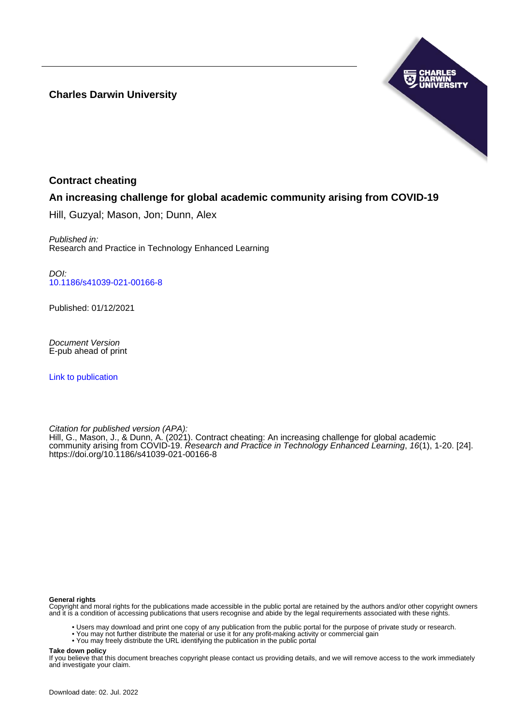**Charles Darwin University**



# **Contract cheating**

# **An increasing challenge for global academic community arising from COVID-19**

Hill, Guzyal; Mason, Jon; Dunn, Alex

Published in: Research and Practice in Technology Enhanced Learning

DOI: [10.1186/s41039-021-00166-8](https://doi.org/10.1186/s41039-021-00166-8)

Published: 01/12/2021

Document Version E-pub ahead of print

[Link to publication](https://researchers.cdu.edu.au/en/publications/4c5bdc95-121c-4c63-9da4-d41019e9dc1a)

Citation for published version (APA): Hill, G., Mason, J., & Dunn, A. (2021). Contract cheating: An increasing challenge for global academic community arising from COVID-19. Research and Practice in Technology Enhanced Learning, 16(1), 1-20. [24]. <https://doi.org/10.1186/s41039-021-00166-8>

#### **General rights**

Copyright and moral rights for the publications made accessible in the public portal are retained by the authors and/or other copyright owners and it is a condition of accessing publications that users recognise and abide by the legal requirements associated with these rights.

- Users may download and print one copy of any publication from the public portal for the purpose of private study or research.
- You may not further distribute the material or use it for any profit-making activity or commercial gain
- You may freely distribute the URL identifying the publication in the public portal

**Take down policy**

If you believe that this document breaches copyright please contact us providing details, and we will remove access to the work immediately and investigate your claim.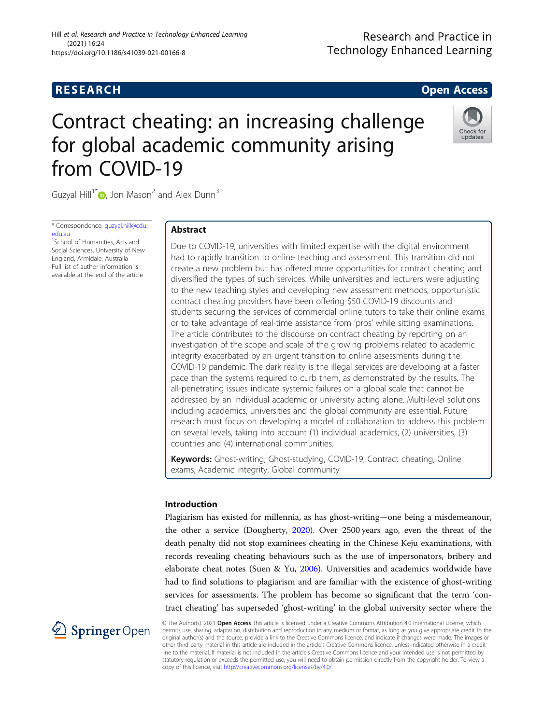# **RESEARCH CHE CHE Open Access**

# Contract cheating: an increasing challenge for global academic community arising from COVID-19



Guzyal Hill<sup>1\*</sup> $\bullet$ [,](http://orcid.org/0000-0001-6799-6533) Jon Mason<sup>2</sup> and Alex Dunn<sup>3</sup>

\* Correspondence: [guzyal.hill@cdu.](mailto:guzyal.hill@cdu.edu.au) [edu.au](mailto:guzyal.hill@cdu.edu.au)

<sup>1</sup> School of Humanities, Arts and Social Sciences, University of New England, Armidale, Australia Full list of author information is available at the end of the article

# Abstract

Due to COVID-19, universities with limited expertise with the digital environment had to rapidly transition to online teaching and assessment. This transition did not create a new problem but has offered more opportunities for contract cheating and diversified the types of such services. While universities and lecturers were adjusting to the new teaching styles and developing new assessment methods, opportunistic contract cheating providers have been offering \$50 COVID-19 discounts and students securing the services of commercial online tutors to take their online exams or to take advantage of real-time assistance from 'pros' while sitting examinations. The article contributes to the discourse on contract cheating by reporting on an investigation of the scope and scale of the growing problems related to academic integrity exacerbated by an urgent transition to online assessments during the COVID-19 pandemic. The dark reality is the illegal services are developing at a faster pace than the systems required to curb them, as demonstrated by the results. The all-penetrating issues indicate systemic failures on a global scale that cannot be addressed by an individual academic or university acting alone. Multi-level solutions including academics, universities and the global community are essential. Future research must focus on developing a model of collaboration to address this problem on several levels, taking into account (1) individual academics, (2) universities, (3) countries and (4) international communities.

Keywords: Ghost-writing, Ghost-studying, COVID-19, Contract cheating, Online exams, Academic integrity, Global community

## Introduction

Plagiarism has existed for millennia, as has ghost-writing—one being a misdemeanour, the other a service (Dougherty, [2020\)](#page-18-0). Over 2500 years ago, even the threat of the death penalty did not stop examinees cheating in the Chinese Keju examinations, with records revealing cheating behaviours such as the use of impersonators, bribery and elaborate cheat notes (Suen & Yu, [2006](#page-19-0)). Universities and academics worldwide have had to find solutions to plagiarism and are familiar with the existence of ghost-writing services for assessments. The problem has become so significant that the term 'contract cheating' has superseded 'ghost-writing' in the global university sector where the



© The Author(s). 2021 Open Access This article is licensed under a Creative Commons Attribution 4.0 International License, which permits use, sharing, adaptation, distribution and reproduction in any medium or format, as long as you give appropriate credit to the original author(s) and the source, provide a link to the Creative Commons licence, and indicate if changes were made. The images or other third party material in this article are included in the article's Creative Commons licence, unless indicated otherwise in a credit line to the material. If material is not included in the article's Creative Commons licence and your intended use is not permitted by statutory regulation or exceeds the permitted use, you will need to obtain permission directly from the copyright holder. To view a copy of this licence, visit <http://creativecommons.org/licenses/by/4.0/>.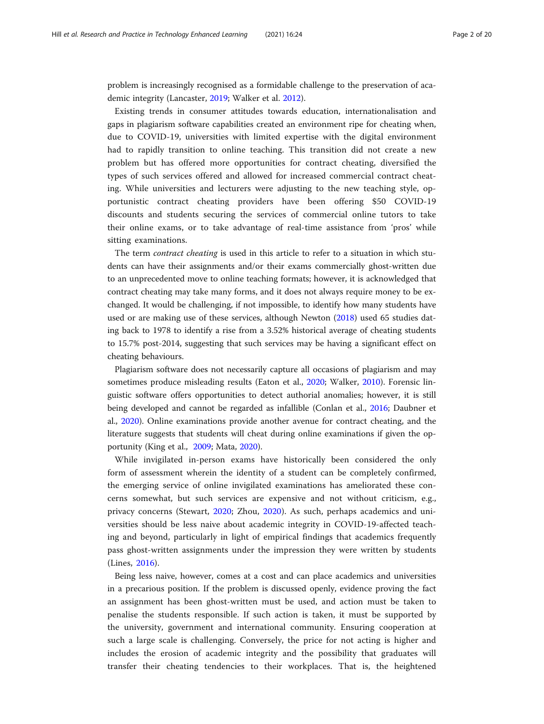problem is increasingly recognised as a formidable challenge to the preservation of academic integrity (Lancaster, [2019](#page-18-0); Walker et al. [2012](#page-19-0)).

Existing trends in consumer attitudes towards education, internationalisation and gaps in plagiarism software capabilities created an environment ripe for cheating when, due to COVID-19, universities with limited expertise with the digital environment had to rapidly transition to online teaching. This transition did not create a new problem but has offered more opportunities for contract cheating, diversified the types of such services offered and allowed for increased commercial contract cheating. While universities and lecturers were adjusting to the new teaching style, opportunistic contract cheating providers have been offering \$50 COVID-19 discounts and students securing the services of commercial online tutors to take their online exams, or to take advantage of real-time assistance from 'pros' while sitting examinations.

The term contract cheating is used in this article to refer to a situation in which students can have their assignments and/or their exams commercially ghost-written due to an unprecedented move to online teaching formats; however, it is acknowledged that contract cheating may take many forms, and it does not always require money to be exchanged. It would be challenging, if not impossible, to identify how many students have used or are making use of these services, although Newton ([2018](#page-19-0)) used 65 studies dating back to 1978 to identify a rise from a 3.52% historical average of cheating students to 15.7% post-2014, suggesting that such services may be having a significant effect on cheating behaviours.

Plagiarism software does not necessarily capture all occasions of plagiarism and may sometimes produce misleading results (Eaton et al., [2020;](#page-18-0) Walker, [2010\)](#page-19-0). Forensic linguistic software offers opportunities to detect authorial anomalies; however, it is still being developed and cannot be regarded as infallible (Conlan et al., [2016;](#page-17-0) Daubner et al., [2020](#page-18-0)). Online examinations provide another avenue for contract cheating, and the literature suggests that students will cheat during online examinations if given the opportunity (King et al., [2009](#page-18-0); Mata, [2020](#page-19-0)).

While invigilated in-person exams have historically been considered the only form of assessment wherein the identity of a student can be completely confirmed, the emerging service of online invigilated examinations has ameliorated these concerns somewhat, but such services are expensive and not without criticism, e.g., privacy concerns (Stewart, [2020;](#page-19-0) Zhou, [2020](#page-20-0)). As such, perhaps academics and universities should be less naive about academic integrity in COVID-19-affected teaching and beyond, particularly in light of empirical findings that academics frequently pass ghost-written assignments under the impression they were written by students (Lines, [2016](#page-19-0)).

Being less naive, however, comes at a cost and can place academics and universities in a precarious position. If the problem is discussed openly, evidence proving the fact an assignment has been ghost-written must be used, and action must be taken to penalise the students responsible. If such action is taken, it must be supported by the university, government and international community. Ensuring cooperation at such a large scale is challenging. Conversely, the price for not acting is higher and includes the erosion of academic integrity and the possibility that graduates will transfer their cheating tendencies to their workplaces. That is, the heightened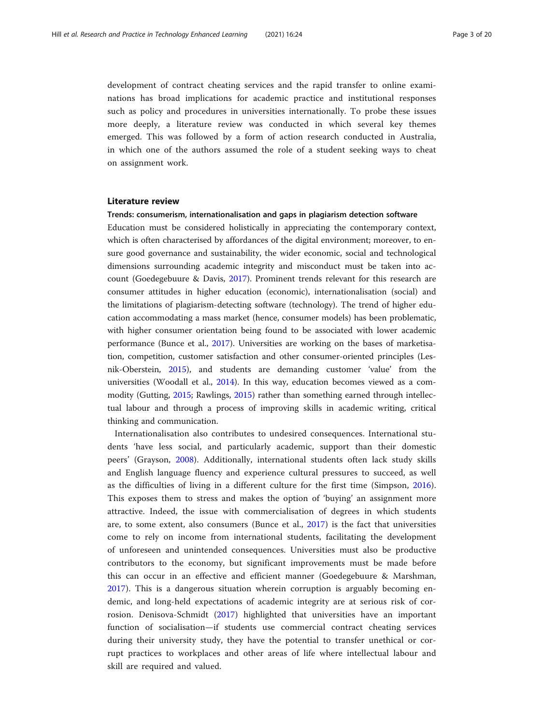development of contract cheating services and the rapid transfer to online examinations has broad implications for academic practice and institutional responses such as policy and procedures in universities internationally. To probe these issues more deeply, a literature review was conducted in which several key themes emerged. This was followed by a form of action research conducted in Australia, in which one of the authors assumed the role of a student seeking ways to cheat on assignment work.

#### Literature review

#### Trends: consumerism, internationalisation and gaps in plagiarism detection software

Education must be considered holistically in appreciating the contemporary context, which is often characterised by affordances of the digital environment; moreover, to ensure good governance and sustainability, the wider economic, social and technological dimensions surrounding academic integrity and misconduct must be taken into account (Goedegebuure & Davis, [2017](#page-18-0)). Prominent trends relevant for this research are consumer attitudes in higher education (economic), internationalisation (social) and the limitations of plagiarism-detecting software (technology). The trend of higher education accommodating a mass market (hence, consumer models) has been problematic, with higher consumer orientation being found to be associated with lower academic performance (Bunce et al., [2017\)](#page-17-0). Universities are working on the bases of marketisation, competition, customer satisfaction and other consumer-oriented principles (Lesnik-Oberstein, [2015](#page-19-0)), and students are demanding customer 'value' from the universities (Woodall et al., [2014\)](#page-19-0). In this way, education becomes viewed as a commodity (Gutting, [2015](#page-18-0); Rawlings, [2015](#page-19-0)) rather than something earned through intellectual labour and through a process of improving skills in academic writing, critical thinking and communication.

Internationalisation also contributes to undesired consequences. International students 'have less social, and particularly academic, support than their domestic peers' (Grayson, [2008](#page-18-0)). Additionally, international students often lack study skills and English language fluency and experience cultural pressures to succeed, as well as the difficulties of living in a different culture for the first time (Simpson, [2016](#page-19-0)). This exposes them to stress and makes the option of 'buying' an assignment more attractive. Indeed, the issue with commercialisation of degrees in which students are, to some extent, also consumers (Bunce et al., [2017](#page-17-0)) is the fact that universities come to rely on income from international students, facilitating the development of unforeseen and unintended consequences. Universities must also be productive contributors to the economy, but significant improvements must be made before this can occur in an effective and efficient manner (Goedegebuure & Marshman, [2017\)](#page-18-0). This is a dangerous situation wherein corruption is arguably becoming endemic, and long-held expectations of academic integrity are at serious risk of corrosion. Denisova-Schmidt [\(2017](#page-18-0)) highlighted that universities have an important function of socialisation—if students use commercial contract cheating services during their university study, they have the potential to transfer unethical or corrupt practices to workplaces and other areas of life where intellectual labour and skill are required and valued.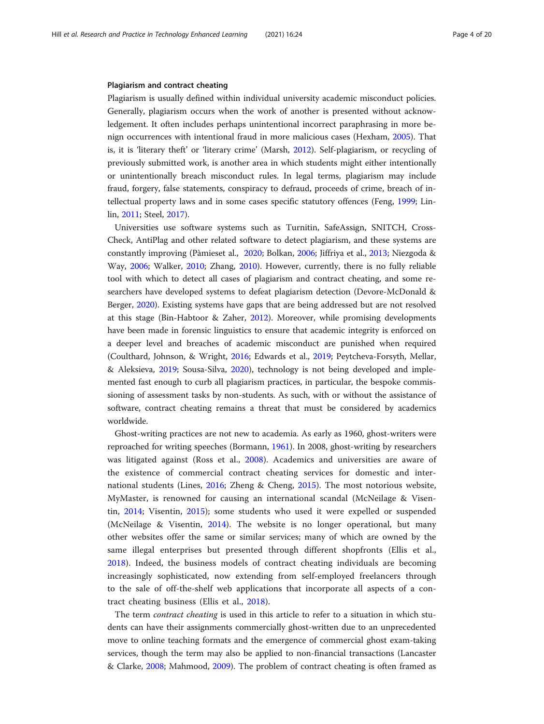#### Plagiarism and contract cheating

Plagiarism is usually defined within individual university academic misconduct policies. Generally, plagiarism occurs when the work of another is presented without acknowledgement. It often includes perhaps unintentional incorrect paraphrasing in more benign occurrences with intentional fraud in more malicious cases (Hexham, [2005\)](#page-18-0). That is, it is 'literary theft' or 'literary crime' (Marsh, [2012\)](#page-19-0). Self-plagiarism, or recycling of previously submitted work, is another area in which students might either intentionally or unintentionally breach misconduct rules. In legal terms, plagiarism may include fraud, forgery, false statements, conspiracy to defraud, proceeds of crime, breach of intellectual property laws and in some cases specific statutory offences (Feng, [1999;](#page-18-0) Linlin, [2011;](#page-19-0) Steel, [2017](#page-19-0)).

Universities use software systems such as Turnitin, SafeAssign, SNITCH, Cross-Check, AntiPlag and other related software to detect plagiarism, and these systems are constantly improving (Pàmieset al., [2020;](#page-19-0) Bolkan, [2006](#page-17-0); Jiffriya et al., [2013](#page-18-0); Niezgoda & Way, [2006](#page-19-0); Walker, [2010;](#page-19-0) Zhang, [2010\)](#page-20-0). However, currently, there is no fully reliable tool with which to detect all cases of plagiarism and contract cheating, and some researchers have developed systems to defeat plagiarism detection (Devore-McDonald & Berger, [2020](#page-18-0)). Existing systems have gaps that are being addressed but are not resolved at this stage (Bin-Habtoor & Zaher, [2012\)](#page-17-0). Moreover, while promising developments have been made in forensic linguistics to ensure that academic integrity is enforced on a deeper level and breaches of academic misconduct are punished when required (Coulthard, Johnson, & Wright, [2016;](#page-17-0) Edwards et al., [2019;](#page-18-0) Peytcheva-Forsyth, Mellar, & Aleksieva, [2019;](#page-19-0) Sousa-Silva, [2020\)](#page-19-0), technology is not being developed and implemented fast enough to curb all plagiarism practices, in particular, the bespoke commissioning of assessment tasks by non-students. As such, with or without the assistance of software, contract cheating remains a threat that must be considered by academics worldwide.

Ghost-writing practices are not new to academia. As early as 1960, ghost-writers were reproached for writing speeches (Bormann, [1961](#page-17-0)). In 2008, ghost-writing by researchers was litigated against (Ross et al., [2008](#page-19-0)). Academics and universities are aware of the existence of commercial contract cheating services for domestic and international students (Lines, [2016;](#page-19-0) Zheng & Cheng, [2015](#page-20-0)). The most notorious website, MyMaster, is renowned for causing an international scandal (McNeilage & Visentin, [2014;](#page-19-0) Visentin, [2015\)](#page-19-0); some students who used it were expelled or suspended (McNeilage & Visentin, [2014\)](#page-19-0). The website is no longer operational, but many other websites offer the same or similar services; many of which are owned by the same illegal enterprises but presented through different shopfronts (Ellis et al., [2018\)](#page-18-0). Indeed, the business models of contract cheating individuals are becoming increasingly sophisticated, now extending from self-employed freelancers through to the sale of off-the-shelf web applications that incorporate all aspects of a contract cheating business (Ellis et al., [2018](#page-18-0)).

The term *contract cheating* is used in this article to refer to a situation in which students can have their assignments commercially ghost-written due to an unprecedented move to online teaching formats and the emergence of commercial ghost exam-taking services, though the term may also be applied to non-financial transactions (Lancaster & Clarke, [2008;](#page-19-0) Mahmood, [2009](#page-19-0)). The problem of contract cheating is often framed as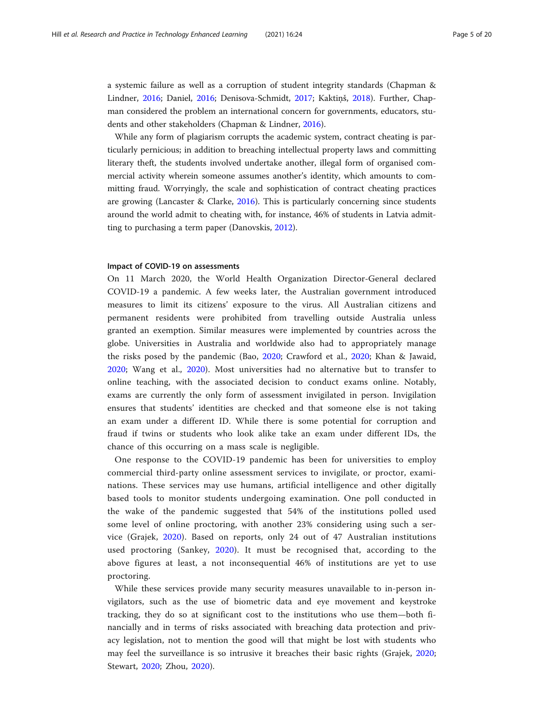a systemic failure as well as a corruption of student integrity standards (Chapman & Lindner, [2016;](#page-17-0) Daniel, [2016;](#page-18-0) Denisova-Schmidt, [2017](#page-18-0); Kaktiņš, [2018\)](#page-18-0). Further, Chapman considered the problem an international concern for governments, educators, students and other stakeholders (Chapman & Lindner, [2016\)](#page-17-0).

While any form of plagiarism corrupts the academic system, contract cheating is particularly pernicious; in addition to breaching intellectual property laws and committing literary theft, the students involved undertake another, illegal form of organised commercial activity wherein someone assumes another's identity, which amounts to committing fraud. Worryingly, the scale and sophistication of contract cheating practices are growing (Lancaster & Clarke, [2016](#page-19-0)). This is particularly concerning since students around the world admit to cheating with, for instance, 46% of students in Latvia admitting to purchasing a term paper (Danovskis, [2012](#page-18-0)).

#### Impact of COVID-19 on assessments

On 11 March 2020, the World Health Organization Director-General declared COVID-19 a pandemic. A few weeks later, the Australian government introduced measures to limit its citizens' exposure to the virus. All Australian citizens and permanent residents were prohibited from travelling outside Australia unless granted an exemption. Similar measures were implemented by countries across the globe. Universities in Australia and worldwide also had to appropriately manage the risks posed by the pandemic (Bao, [2020](#page-17-0); Crawford et al., [2020;](#page-17-0) Khan & Jawaid, [2020;](#page-18-0) Wang et al., [2020\)](#page-19-0). Most universities had no alternative but to transfer to online teaching, with the associated decision to conduct exams online. Notably, exams are currently the only form of assessment invigilated in person. Invigilation ensures that students' identities are checked and that someone else is not taking an exam under a different ID. While there is some potential for corruption and fraud if twins or students who look alike take an exam under different IDs, the chance of this occurring on a mass scale is negligible.

One response to the COVID-19 pandemic has been for universities to employ commercial third-party online assessment services to invigilate, or proctor, examinations. These services may use humans, artificial intelligence and other digitally based tools to monitor students undergoing examination. One poll conducted in the wake of the pandemic suggested that 54% of the institutions polled used some level of online proctoring, with another 23% considering using such a service (Grajek, [2020\)](#page-18-0). Based on reports, only 24 out of 47 Australian institutions used proctoring (Sankey, [2020](#page-19-0)). It must be recognised that, according to the above figures at least, a not inconsequential 46% of institutions are yet to use proctoring.

While these services provide many security measures unavailable to in-person invigilators, such as the use of biometric data and eye movement and keystroke tracking, they do so at significant cost to the institutions who use them—both financially and in terms of risks associated with breaching data protection and privacy legislation, not to mention the good will that might be lost with students who may feel the surveillance is so intrusive it breaches their basic rights (Grajek, [2020](#page-18-0); Stewart, [2020](#page-19-0); Zhou, [2020\)](#page-20-0).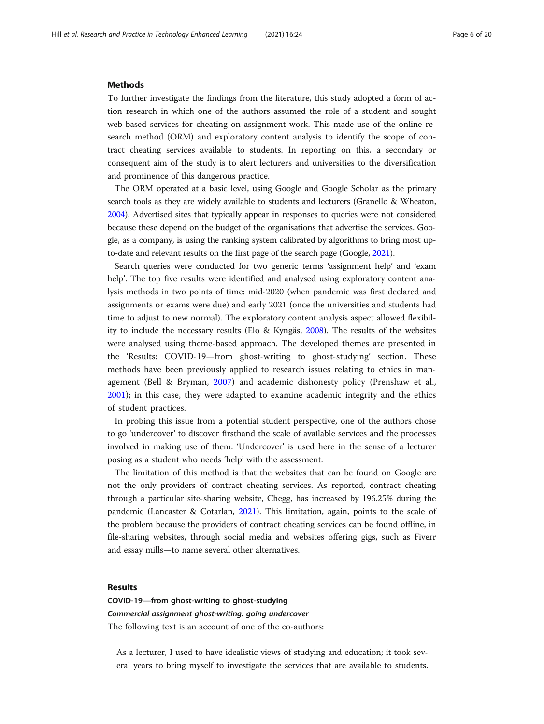#### **Methods**

To further investigate the findings from the literature, this study adopted a form of action research in which one of the authors assumed the role of a student and sought web-based services for cheating on assignment work. This made use of the online research method (ORM) and exploratory content analysis to identify the scope of contract cheating services available to students. In reporting on this, a secondary or consequent aim of the study is to alert lecturers and universities to the diversification and prominence of this dangerous practice.

The ORM operated at a basic level, using Google and Google Scholar as the primary search tools as they are widely available to students and lecturers (Granello & Wheaton, [2004\)](#page-18-0). Advertised sites that typically appear in responses to queries were not considered because these depend on the budget of the organisations that advertise the services. Google, as a company, is using the ranking system calibrated by algorithms to bring most upto-date and relevant results on the first page of the search page (Google, [2021](#page-18-0)).

Search queries were conducted for two generic terms 'assignment help' and 'exam help'. The top five results were identified and analysed using exploratory content analysis methods in two points of time: mid-2020 (when pandemic was first declared and assignments or exams were due) and early 2021 (once the universities and students had time to adjust to new normal). The exploratory content analysis aspect allowed flexibility to include the necessary results (Elo & Kyngäs, [2008\)](#page-18-0). The results of the websites were analysed using theme-based approach. The developed themes are presented in the 'Results: COVID-19—from ghost-writing to ghost-studying' section. These methods have been previously applied to research issues relating to ethics in management (Bell & Bryman, [2007\)](#page-17-0) and academic dishonesty policy (Prenshaw et al., [2001\)](#page-19-0); in this case, they were adapted to examine academic integrity and the ethics of student practices.

In probing this issue from a potential student perspective, one of the authors chose to go 'undercover' to discover firsthand the scale of available services and the processes involved in making use of them. 'Undercover' is used here in the sense of a lecturer posing as a student who needs 'help' with the assessment.

The limitation of this method is that the websites that can be found on Google are not the only providers of contract cheating services. As reported, contract cheating through a particular site-sharing website, Chegg, has increased by 196.25% during the pandemic (Lancaster & Cotarlan, [2021\)](#page-19-0). This limitation, again, points to the scale of the problem because the providers of contract cheating services can be found offline, in file-sharing websites, through social media and websites offering gigs, such as Fiverr and essay mills—to name several other alternatives.

#### Results

COVID-19—from ghost-writing to ghost-studying Commercial assignment ghost-writing: going undercover The following text is an account of one of the co-authors:

As a lecturer, I used to have idealistic views of studying and education; it took several years to bring myself to investigate the services that are available to students.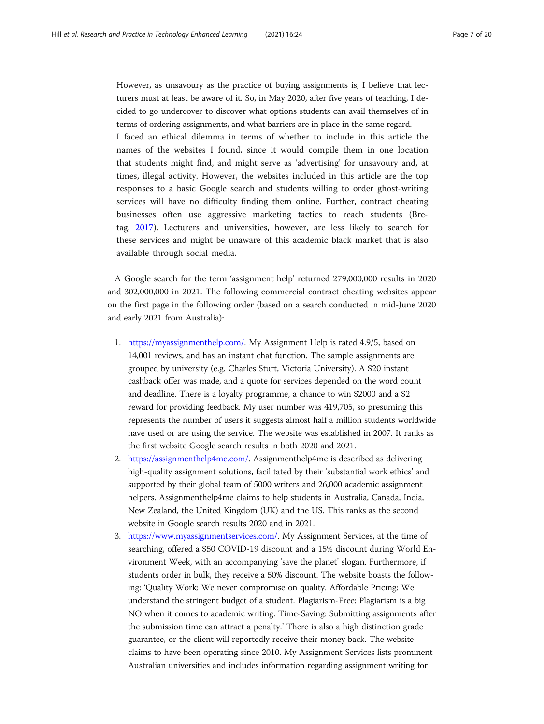However, as unsavoury as the practice of buying assignments is, I believe that lecturers must at least be aware of it. So, in May 2020, after five years of teaching, I decided to go undercover to discover what options students can avail themselves of in terms of ordering assignments, and what barriers are in place in the same regard. I faced an ethical dilemma in terms of whether to include in this article the names of the websites I found, since it would compile them in one location that students might find, and might serve as 'advertising' for unsavoury and, at times, illegal activity. However, the websites included in this article are the top responses to a basic Google search and students willing to order ghost-writing services will have no difficulty finding them online. Further, contract cheating businesses often use aggressive marketing tactics to reach students (Bretag, [2017](#page-17-0)). Lecturers and universities, however, are less likely to search for these services and might be unaware of this academic black market that is also available through social media.

A Google search for the term 'assignment help' returned 279,000,000 results in 2020 and 302,000,000 in 2021. The following commercial contract cheating websites appear on the first page in the following order (based on a search conducted in mid-June 2020 and early 2021 from Australia):

- 1. <https://myassignmenthelp.com/>. My Assignment Help is rated 4.9/5, based on 14,001 reviews, and has an instant chat function. The sample assignments are grouped by university (e.g. Charles Sturt, Victoria University). A \$20 instant cashback offer was made, and a quote for services depended on the word count and deadline. There is a loyalty programme, a chance to win \$2000 and a \$2 reward for providing feedback. My user number was 419,705, so presuming this represents the number of users it suggests almost half a million students worldwide have used or are using the service. The website was established in 2007. It ranks as the first website Google search results in both 2020 and 2021.
- 2. <https://assignmenthelp4me.com/>. Assignmenthelp4me is described as delivering high-quality assignment solutions, facilitated by their 'substantial work ethics' and supported by their global team of 5000 writers and 26,000 academic assignment helpers. Assignmenthelp4me claims to help students in Australia, Canada, India, New Zealand, the United Kingdom (UK) and the US. This ranks as the second website in Google search results 2020 and in 2021.
- 3. [https://www.myassignmentservices.com/.](https://www.myassignmentservices.com/) My Assignment Services, at the time of searching, offered a \$50 COVID-19 discount and a 15% discount during World Environment Week, with an accompanying 'save the planet' slogan. Furthermore, if students order in bulk, they receive a 50% discount. The website boasts the following: 'Quality Work: We never compromise on quality. Affordable Pricing: We understand the stringent budget of a student. Plagiarism-Free: Plagiarism is a big NO when it comes to academic writing. Time-Saving: Submitting assignments after the submission time can attract a penalty.' There is also a high distinction grade guarantee, or the client will reportedly receive their money back. The website claims to have been operating since 2010. My Assignment Services lists prominent Australian universities and includes information regarding assignment writing for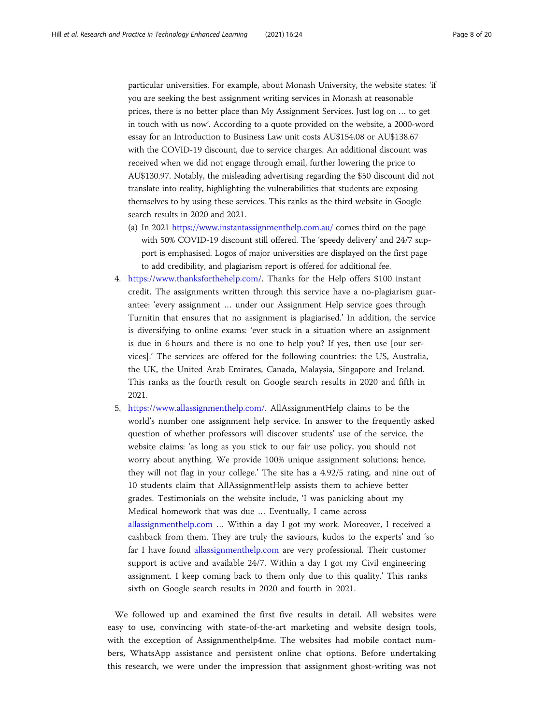particular universities. For example, about Monash University, the website states: 'if you are seeking the best assignment writing services in Monash at reasonable prices, there is no better place than My Assignment Services. Just log on … to get in touch with us now'. According to a quote provided on the website, a 2000-word essay for an Introduction to Business Law unit costs AU\$154.08 or AU\$138.67 with the COVID-19 discount, due to service charges. An additional discount was received when we did not engage through email, further lowering the price to AU\$130.97. Notably, the misleading advertising regarding the \$50 discount did not translate into reality, highlighting the vulnerabilities that students are exposing themselves to by using these services. This ranks as the third website in Google search results in 2020 and 2021.

- (a) In 2021 <https://www.instantassignmenthelp.com.au/> comes third on the page with 50% COVID-19 discount still offered. The 'speedy delivery' and 24/7 support is emphasised. Logos of major universities are displayed on the first page to add credibility, and plagiarism report is offered for additional fee.
- 4. <https://www.thanksforthehelp.com/>. Thanks for the Help offers \$100 instant credit. The assignments written through this service have a no-plagiarism guarantee: 'every assignment … under our Assignment Help service goes through Turnitin that ensures that no assignment is plagiarised.' In addition, the service is diversifying to online exams: 'ever stuck in a situation where an assignment is due in 6 hours and there is no one to help you? If yes, then use [our services].' The services are offered for the following countries: the US, Australia, the UK, the United Arab Emirates, Canada, Malaysia, Singapore and Ireland. This ranks as the fourth result on Google search results in 2020 and fifth in 2021.
- 5. [https://www.allassignmenthelp.com/.](https://www.allassignmenthelp.com/) AllAssignmentHelp claims to be the world's number one assignment help service. In answer to the frequently asked question of whether professors will discover students' use of the service, the website claims: 'as long as you stick to our fair use policy, you should not worry about anything. We provide 100% unique assignment solutions; hence, they will not flag in your college.' The site has a 4.92/5 rating, and nine out of 10 students claim that AllAssignmentHelp assists them to achieve better grades. Testimonials on the website include, 'I was panicking about my Medical homework that was due … Eventually, I came across [allassignmenthelp.com](http://allassignmenthelp.com) … Within a day I got my work. Moreover, I received a cashback from them. They are truly the saviours, kudos to the experts' and 'so far I have found [allassignmenthelp.com](http://allassignmenthelp.com) are very professional. Their customer support is active and available 24/7. Within a day I got my Civil engineering assignment. I keep coming back to them only due to this quality.' This ranks sixth on Google search results in 2020 and fourth in 2021.

We followed up and examined the first five results in detail. All websites were easy to use, convincing with state-of-the-art marketing and website design tools, with the exception of Assignmenthelp4me. The websites had mobile contact numbers, WhatsApp assistance and persistent online chat options. Before undertaking this research, we were under the impression that assignment ghost-writing was not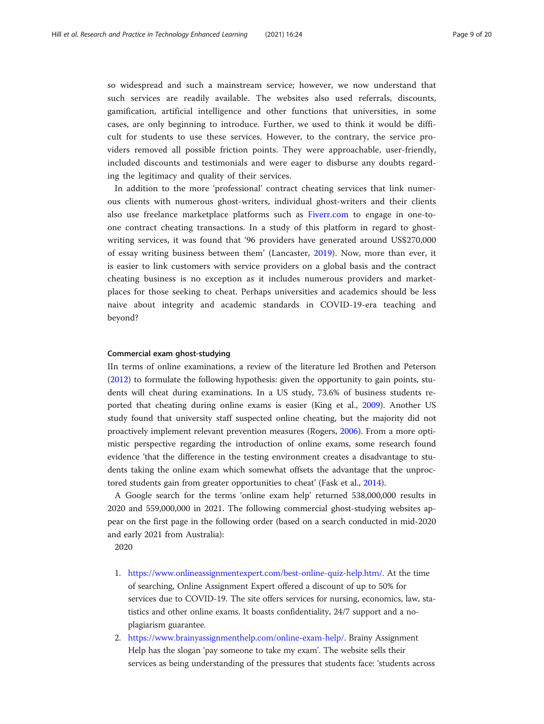so widespread and such a mainstream service; however, we now understand that such services are readily available. The websites also used referrals, discounts, gamification, artificial intelligence and other functions that universities, in some cases, are only beginning to introduce. Further, we used to think it would be difficult for students to use these services. However, to the contrary, the service providers removed all possible friction points. They were approachable, user-friendly, included discounts and testimonials and were eager to disburse any doubts regarding the legitimacy and quality of their services.

In addition to the more 'professional' contract cheating services that link numerous clients with numerous ghost-writers, individual ghost-writers and their clients also use freelance marketplace platforms such as [Fiverr.com](http://fiverr.com) to engage in one-toone contract cheating transactions. In a study of this platform in regard to ghostwriting services, it was found that '96 providers have generated around US\$270,000 of essay writing business between them' (Lancaster, [2019\)](#page-18-0). Now, more than ever, it is easier to link customers with service providers on a global basis and the contract cheating business is no exception as it includes numerous providers and marketplaces for those seeking to cheat. Perhaps universities and academics should be less naive about integrity and academic standards in COVID-19-era teaching and beyond?

#### Commercial exam ghost-studying

IIn terms of online examinations, a review of the literature led Brothen and Peterson ([2012](#page-17-0)) to formulate the following hypothesis: given the opportunity to gain points, students will cheat during examinations. In a US study, 73.6% of business students reported that cheating during online exams is easier (King et al., [2009](#page-18-0)). Another US study found that university staff suspected online cheating, but the majority did not proactively implement relevant prevention measures (Rogers, [2006](#page-19-0)). From a more optimistic perspective regarding the introduction of online exams, some research found evidence 'that the difference in the testing environment creates a disadvantage to students taking the online exam which somewhat offsets the advantage that the unproctored students gain from greater opportunities to cheat' (Fask et al., [2014\)](#page-18-0).

A Google search for the terms 'online exam help' returned 538,000,000 results in 2020 and 559,000,000 in 2021. The following commercial ghost-studying websites appear on the first page in the following order (based on a search conducted in mid-2020 and early 2021 from Australia):

2020

- 1. [https://www.onlineassignmentexpert.com/best-online-quiz-help.htm/.](https://www.onlineassignmentexpert.com/best-online-quiz-help.htm) At the time of searching, Online Assignment Expert offered a discount of up to 50% for services due to COVID-19. The site offers services for nursing, economics, law, statistics and other online exams. It boasts confidentiality, 24/7 support and a noplagiarism guarantee.
- 2. [https://www.brainyassignmenthelp.com/online-exam-help/.](https://www.brainyassignmenthelp.com/online-exam-help/) Brainy Assignment Help has the slogan 'pay someone to take my exam'. The website sells their services as being understanding of the pressures that students face: 'students across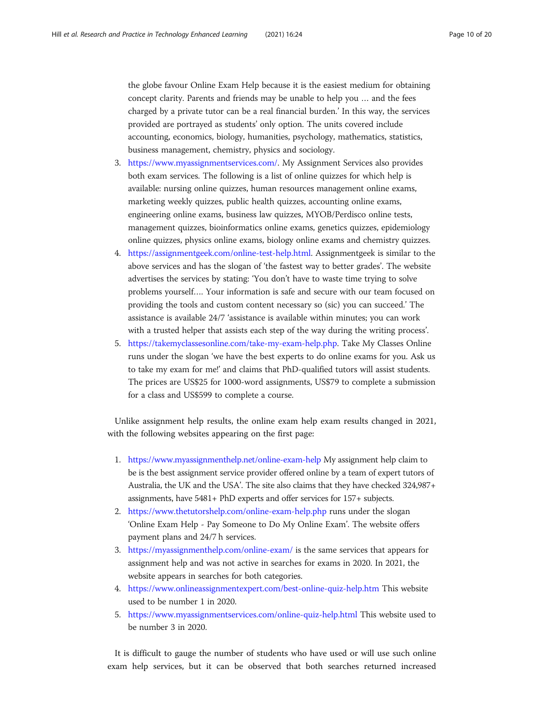the globe favour Online Exam Help because it is the easiest medium for obtaining concept clarity. Parents and friends may be unable to help you … and the fees charged by a private tutor can be a real financial burden.' In this way, the services provided are portrayed as students' only option. The units covered include accounting, economics, biology, humanities, psychology, mathematics, statistics, business management, chemistry, physics and sociology.

- 3. [https://www.myassignmentservices.com/.](https://www.myassignmentservices.com/) My Assignment Services also provides both exam services. The following is a list of online quizzes for which help is available: nursing online quizzes, human resources management online exams, marketing weekly quizzes, public health quizzes, accounting online exams, engineering online exams, business law quizzes, MYOB/Perdisco online tests, management quizzes, bioinformatics online exams, genetics quizzes, epidemiology online quizzes, physics online exams, biology online exams and chemistry quizzes.
- 4. <https://assignmentgeek.com/online-test-help.html>. Assignmentgeek is similar to the above services and has the slogan of 'the fastest way to better grades'. The website advertises the services by stating: 'You don't have to waste time trying to solve problems yourself…. Your information is safe and secure with our team focused on providing the tools and custom content necessary so (sic) you can succeed.' The assistance is available 24/7 'assistance is available within minutes; you can work with a trusted helper that assists each step of the way during the writing process'.
- 5. <https://takemyclassesonline.com/take-my-exam-help.php>. Take My Classes Online runs under the slogan 'we have the best experts to do online exams for you. Ask us to take my exam for me!' and claims that PhD-qualified tutors will assist students. The prices are US\$25 for 1000-word assignments, US\$79 to complete a submission for a class and US\$599 to complete a course.

Unlike assignment help results, the online exam help exam results changed in 2021, with the following websites appearing on the first page:

- 1. <https://www.myassignmenthelp.net/online-exam-help> My assignment help claim to be is the best assignment service provider offered online by a team of expert tutors of Australia, the UK and the USA'. The site also claims that they have checked 324,987+ assignments, have 5481+ PhD experts and offer services for 157+ subjects.
- 2. <https://www.thetutorshelp.com/online-exam-help.php> runs under the slogan 'Online Exam Help - Pay Someone to Do My Online Exam'. The website offers payment plans and 24/7 h services.
- 3. <https://myassignmenthelp.com/online-exam/> is the same services that appears for assignment help and was not active in searches for exams in 2020. In 2021, the website appears in searches for both categories.
- 4. <https://www.onlineassignmentexpert.com/best-online-quiz-help.htm> This website used to be number 1 in 2020.
- 5. <https://www.myassignmentservices.com/online-quiz-help.html> This website used to be number 3 in 2020.

It is difficult to gauge the number of students who have used or will use such online exam help services, but it can be observed that both searches returned increased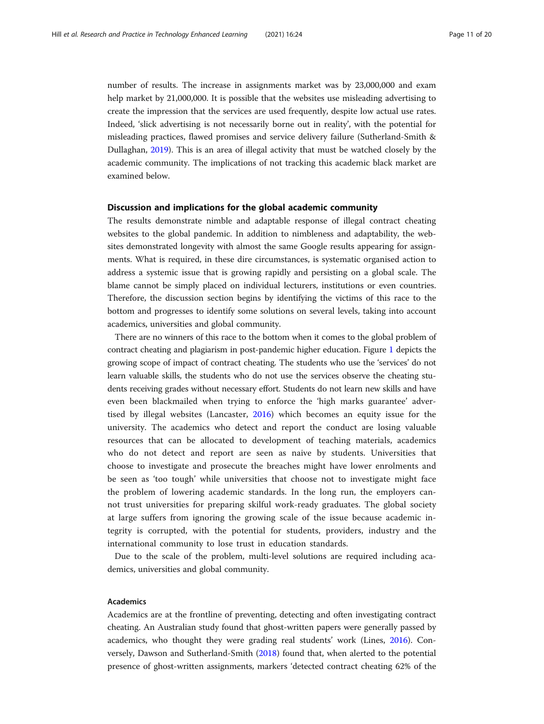number of results. The increase in assignments market was by 23,000,000 and exam help market by 21,000,000. It is possible that the websites use misleading advertising to create the impression that the services are used frequently, despite low actual use rates. Indeed, 'slick advertising is not necessarily borne out in reality', with the potential for misleading practices, flawed promises and service delivery failure (Sutherland-Smith & Dullaghan, [2019\)](#page-19-0). This is an area of illegal activity that must be watched closely by the academic community. The implications of not tracking this academic black market are examined below.

#### Discussion and implications for the global academic community

The results demonstrate nimble and adaptable response of illegal contract cheating websites to the global pandemic. In addition to nimbleness and adaptability, the websites demonstrated longevity with almost the same Google results appearing for assignments. What is required, in these dire circumstances, is systematic organised action to address a systemic issue that is growing rapidly and persisting on a global scale. The blame cannot be simply placed on individual lecturers, institutions or even countries. Therefore, the discussion section begins by identifying the victims of this race to the bottom and progresses to identify some solutions on several levels, taking into account academics, universities and global community.

There are no winners of this race to the bottom when it comes to the global problem of contract cheating and plagiarism in post-pandemic higher education. Figure [1](#page-12-0) depicts the growing scope of impact of contract cheating. The students who use the 'services' do not learn valuable skills, the students who do not use the services observe the cheating students receiving grades without necessary effort. Students do not learn new skills and have even been blackmailed when trying to enforce the 'high marks guarantee' advertised by illegal websites (Lancaster, [2016\)](#page-18-0) which becomes an equity issue for the university. The academics who detect and report the conduct are losing valuable resources that can be allocated to development of teaching materials, academics who do not detect and report are seen as naive by students. Universities that choose to investigate and prosecute the breaches might have lower enrolments and be seen as 'too tough' while universities that choose not to investigate might face the problem of lowering academic standards. In the long run, the employers cannot trust universities for preparing skilful work-ready graduates. The global society at large suffers from ignoring the growing scale of the issue because academic integrity is corrupted, with the potential for students, providers, industry and the international community to lose trust in education standards.

Due to the scale of the problem, multi-level solutions are required including academics, universities and global community.

### Academics

Academics are at the frontline of preventing, detecting and often investigating contract cheating. An Australian study found that ghost-written papers were generally passed by academics, who thought they were grading real students' work (Lines, [2016\)](#page-19-0). Conversely, Dawson and Sutherland-Smith [\(2018](#page-18-0)) found that, when alerted to the potential presence of ghost-written assignments, markers 'detected contract cheating 62% of the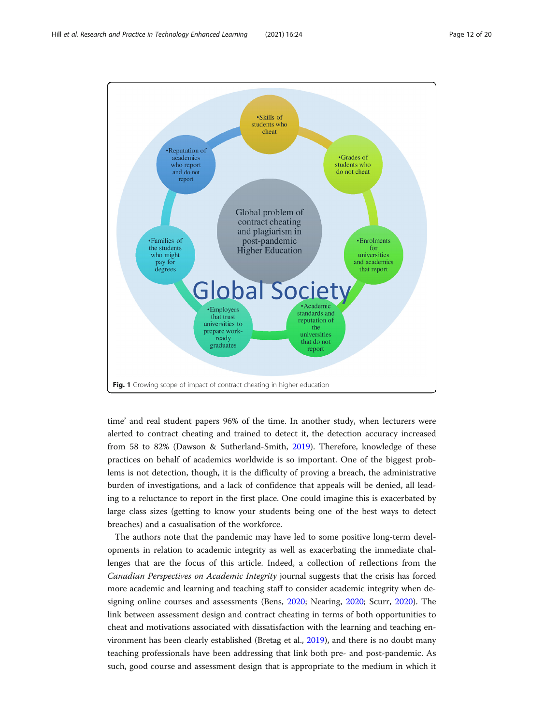<span id="page-12-0"></span>

time' and real student papers 96% of the time. In another study, when lecturers were alerted to contract cheating and trained to detect it, the detection accuracy increased from 58 to 82% (Dawson & Sutherland-Smith, [2019\)](#page-18-0). Therefore, knowledge of these practices on behalf of academics worldwide is so important. One of the biggest problems is not detection, though, it is the difficulty of proving a breach, the administrative burden of investigations, and a lack of confidence that appeals will be denied, all leading to a reluctance to report in the first place. One could imagine this is exacerbated by large class sizes (getting to know your students being one of the best ways to detect breaches) and a casualisation of the workforce.

The authors note that the pandemic may have led to some positive long-term developments in relation to academic integrity as well as exacerbating the immediate challenges that are the focus of this article. Indeed, a collection of reflections from the Canadian Perspectives on Academic Integrity journal suggests that the crisis has forced more academic and learning and teaching staff to consider academic integrity when designing online courses and assessments (Bens, [2020](#page-17-0); Nearing, [2020](#page-19-0); Scurr, [2020](#page-19-0)). The link between assessment design and contract cheating in terms of both opportunities to cheat and motivations associated with dissatisfaction with the learning and teaching environment has been clearly established (Bretag et al., [2019](#page-17-0)), and there is no doubt many teaching professionals have been addressing that link both pre- and post-pandemic. As such, good course and assessment design that is appropriate to the medium in which it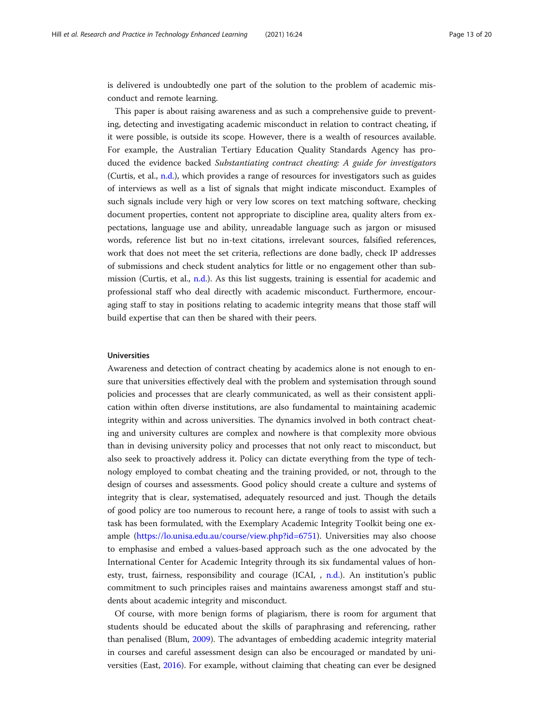is delivered is undoubtedly one part of the solution to the problem of academic misconduct and remote learning.

This paper is about raising awareness and as such a comprehensive guide to preventing, detecting and investigating academic misconduct in relation to contract cheating, if it were possible, is outside its scope. However, there is a wealth of resources available. For example, the Australian Tertiary Education Quality Standards Agency has produced the evidence backed Substantiating contract cheating: A guide for investigators (Curtis, et al., [n.d.\)](#page-18-0), which provides a range of resources for investigators such as guides of interviews as well as a list of signals that might indicate misconduct. Examples of such signals include very high or very low scores on text matching software, checking document properties, content not appropriate to discipline area, quality alters from expectations, language use and ability, unreadable language such as jargon or misused words, reference list but no in-text citations, irrelevant sources, falsified references, work that does not meet the set criteria, reflections are done badly, check IP addresses of submissions and check student analytics for little or no engagement other than submission (Curtis, et al., [n.d.](#page-18-0)). As this list suggests, training is essential for academic and professional staff who deal directly with academic misconduct. Furthermore, encouraging staff to stay in positions relating to academic integrity means that those staff will build expertise that can then be shared with their peers.

#### Universities

Awareness and detection of contract cheating by academics alone is not enough to ensure that universities effectively deal with the problem and systemisation through sound policies and processes that are clearly communicated, as well as their consistent application within often diverse institutions, are also fundamental to maintaining academic integrity within and across universities. The dynamics involved in both contract cheating and university cultures are complex and nowhere is that complexity more obvious than in devising university policy and processes that not only react to misconduct, but also seek to proactively address it. Policy can dictate everything from the type of technology employed to combat cheating and the training provided, or not, through to the design of courses and assessments. Good policy should create a culture and systems of integrity that is clear, systematised, adequately resourced and just. Though the details of good policy are too numerous to recount here, a range of tools to assist with such a task has been formulated, with the Exemplary Academic Integrity Toolkit being one example ([https://lo.unisa.edu.au/course/view.php?id=6751\)](https://lo.unisa.edu.au/course/view.php?id=6751). Universities may also choose to emphasise and embed a values-based approach such as the one advocated by the International Center for Academic Integrity through its six fundamental values of honesty, trust, fairness, responsibility and courage (ICAI, , [n.d.](#page-18-0)). An institution's public commitment to such principles raises and maintains awareness amongst staff and students about academic integrity and misconduct.

Of course, with more benign forms of plagiarism, there is room for argument that students should be educated about the skills of paraphrasing and referencing, rather than penalised (Blum, [2009](#page-17-0)). The advantages of embedding academic integrity material in courses and careful assessment design can also be encouraged or mandated by universities (East, [2016](#page-18-0)). For example, without claiming that cheating can ever be designed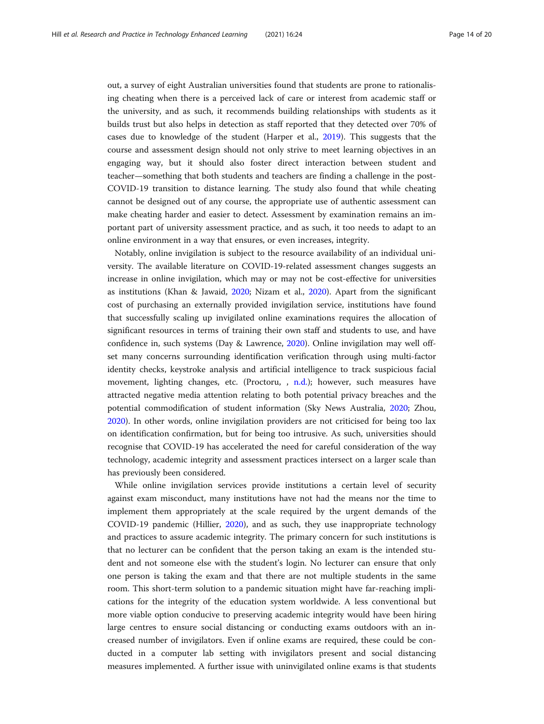out, a survey of eight Australian universities found that students are prone to rationalising cheating when there is a perceived lack of care or interest from academic staff or the university, and as such, it recommends building relationships with students as it builds trust but also helps in detection as staff reported that they detected over 70% of cases due to knowledge of the student (Harper et al., [2019](#page-18-0)). This suggests that the course and assessment design should not only strive to meet learning objectives in an engaging way, but it should also foster direct interaction between student and teacher—something that both students and teachers are finding a challenge in the post-COVID-19 transition to distance learning. The study also found that while cheating cannot be designed out of any course, the appropriate use of authentic assessment can make cheating harder and easier to detect. Assessment by examination remains an important part of university assessment practice, and as such, it too needs to adapt to an online environment in a way that ensures, or even increases, integrity.

Notably, online invigilation is subject to the resource availability of an individual university. The available literature on COVID-19-related assessment changes suggests an increase in online invigilation, which may or may not be cost-effective for universities as institutions (Khan & Jawaid, [2020](#page-18-0); Nizam et al., [2020\)](#page-19-0). Apart from the significant cost of purchasing an externally provided invigilation service, institutions have found that successfully scaling up invigilated online examinations requires the allocation of significant resources in terms of training their own staff and students to use, and have confidence in, such systems (Day & Lawrence, [2020\)](#page-18-0). Online invigilation may well offset many concerns surrounding identification verification through using multi-factor identity checks, keystroke analysis and artificial intelligence to track suspicious facial movement, lighting changes, etc. (Proctoru, , [n.d.\)](#page-19-0); however, such measures have attracted negative media attention relating to both potential privacy breaches and the potential commodification of student information (Sky News Australia, [2020;](#page-19-0) Zhou, [2020](#page-20-0)). In other words, online invigilation providers are not criticised for being too lax on identification confirmation, but for being too intrusive. As such, universities should recognise that COVID-19 has accelerated the need for careful consideration of the way technology, academic integrity and assessment practices intersect on a larger scale than has previously been considered.

While online invigilation services provide institutions a certain level of security against exam misconduct, many institutions have not had the means nor the time to implement them appropriately at the scale required by the urgent demands of the COVID-19 pandemic (Hillier, [2020\)](#page-18-0), and as such, they use inappropriate technology and practices to assure academic integrity. The primary concern for such institutions is that no lecturer can be confident that the person taking an exam is the intended student and not someone else with the student's login. No lecturer can ensure that only one person is taking the exam and that there are not multiple students in the same room. This short-term solution to a pandemic situation might have far-reaching implications for the integrity of the education system worldwide. A less conventional but more viable option conducive to preserving academic integrity would have been hiring large centres to ensure social distancing or conducting exams outdoors with an increased number of invigilators. Even if online exams are required, these could be conducted in a computer lab setting with invigilators present and social distancing measures implemented. A further issue with uninvigilated online exams is that students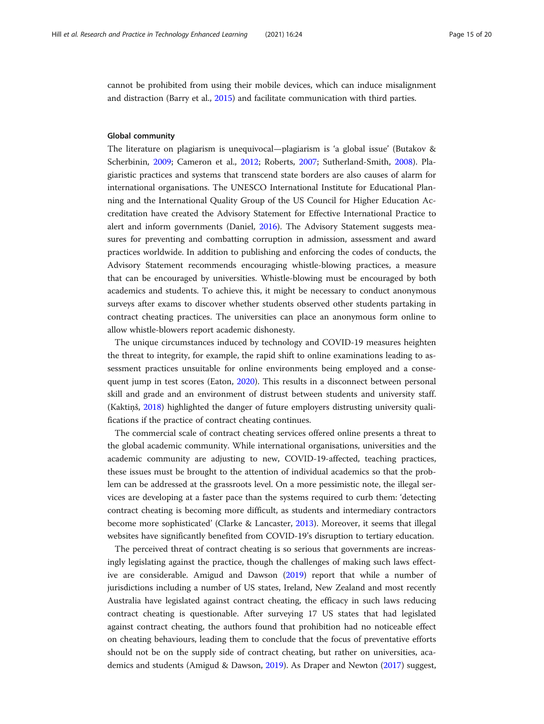cannot be prohibited from using their mobile devices, which can induce misalignment and distraction (Barry et al., [2015](#page-17-0)) and facilitate communication with third parties.

#### Global community

The literature on plagiarism is unequivocal—plagiarism is 'a global issue' (Butakov & Scherbinin, [2009;](#page-17-0) Cameron et al., [2012](#page-17-0); Roberts, [2007](#page-19-0); Sutherland-Smith, [2008\)](#page-19-0). Plagiaristic practices and systems that transcend state borders are also causes of alarm for international organisations. The UNESCO International Institute for Educational Planning and the International Quality Group of the US Council for Higher Education Accreditation have created the Advisory Statement for Effective International Practice to alert and inform governments (Daniel, [2016\)](#page-18-0). The Advisory Statement suggests measures for preventing and combatting corruption in admission, assessment and award practices worldwide. In addition to publishing and enforcing the codes of conducts, the Advisory Statement recommends encouraging whistle-blowing practices, a measure that can be encouraged by universities. Whistle-blowing must be encouraged by both academics and students. To achieve this, it might be necessary to conduct anonymous surveys after exams to discover whether students observed other students partaking in contract cheating practices. The universities can place an anonymous form online to allow whistle-blowers report academic dishonesty.

The unique circumstances induced by technology and COVID-19 measures heighten the threat to integrity, for example, the rapid shift to online examinations leading to assessment practices unsuitable for online environments being employed and a consequent jump in test scores (Eaton, [2020\)](#page-18-0). This results in a disconnect between personal skill and grade and an environment of distrust between students and university staff. (Kaktiņš, [2018\)](#page-18-0) highlighted the danger of future employers distrusting university qualifications if the practice of contract cheating continues.

The commercial scale of contract cheating services offered online presents a threat to the global academic community. While international organisations, universities and the academic community are adjusting to new, COVID-19-affected, teaching practices, these issues must be brought to the attention of individual academics so that the problem can be addressed at the grassroots level. On a more pessimistic note, the illegal services are developing at a faster pace than the systems required to curb them: 'detecting contract cheating is becoming more difficult, as students and intermediary contractors become more sophisticated' (Clarke & Lancaster, [2013\)](#page-17-0). Moreover, it seems that illegal websites have significantly benefited from COVID-19's disruption to tertiary education.

The perceived threat of contract cheating is so serious that governments are increasingly legislating against the practice, though the challenges of making such laws effective are considerable. Amigud and Dawson ([2019\)](#page-17-0) report that while a number of jurisdictions including a number of US states, Ireland, New Zealand and most recently Australia have legislated against contract cheating, the efficacy in such laws reducing contract cheating is questionable. After surveying 17 US states that had legislated against contract cheating, the authors found that prohibition had no noticeable effect on cheating behaviours, leading them to conclude that the focus of preventative efforts should not be on the supply side of contract cheating, but rather on universities, academics and students (Amigud & Dawson, [2019](#page-17-0)). As Draper and Newton ([2017\)](#page-18-0) suggest,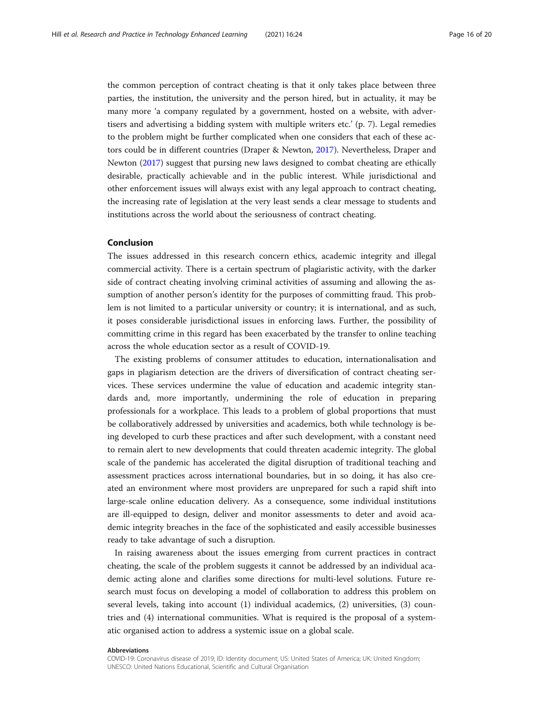the common perception of contract cheating is that it only takes place between three parties, the institution, the university and the person hired, but in actuality, it may be many more 'a company regulated by a government, hosted on a website, with advertisers and advertising a bidding system with multiple writers etc.' (p. 7). Legal remedies to the problem might be further complicated when one considers that each of these actors could be in different countries (Draper & Newton, [2017\)](#page-18-0). Nevertheless, Draper and Newton [\(2017\)](#page-18-0) suggest that pursing new laws designed to combat cheating are ethically desirable, practically achievable and in the public interest. While jurisdictional and other enforcement issues will always exist with any legal approach to contract cheating, the increasing rate of legislation at the very least sends a clear message to students and institutions across the world about the seriousness of contract cheating.

#### Conclusion

The issues addressed in this research concern ethics, academic integrity and illegal commercial activity. There is a certain spectrum of plagiaristic activity, with the darker side of contract cheating involving criminal activities of assuming and allowing the assumption of another person's identity for the purposes of committing fraud. This problem is not limited to a particular university or country; it is international, and as such, it poses considerable jurisdictional issues in enforcing laws. Further, the possibility of committing crime in this regard has been exacerbated by the transfer to online teaching across the whole education sector as a result of COVID-19.

The existing problems of consumer attitudes to education, internationalisation and gaps in plagiarism detection are the drivers of diversification of contract cheating services. These services undermine the value of education and academic integrity standards and, more importantly, undermining the role of education in preparing professionals for a workplace. This leads to a problem of global proportions that must be collaboratively addressed by universities and academics, both while technology is being developed to curb these practices and after such development, with a constant need to remain alert to new developments that could threaten academic integrity. The global scale of the pandemic has accelerated the digital disruption of traditional teaching and assessment practices across international boundaries, but in so doing, it has also created an environment where most providers are unprepared for such a rapid shift into large-scale online education delivery. As a consequence, some individual institutions are ill-equipped to design, deliver and monitor assessments to deter and avoid academic integrity breaches in the face of the sophisticated and easily accessible businesses ready to take advantage of such a disruption.

In raising awareness about the issues emerging from current practices in contract cheating, the scale of the problem suggests it cannot be addressed by an individual academic acting alone and clarifies some directions for multi-level solutions. Future research must focus on developing a model of collaboration to address this problem on several levels, taking into account (1) individual academics, (2) universities, (3) countries and (4) international communities. What is required is the proposal of a systematic organised action to address a systemic issue on a global scale.

#### Abbreviations

COVID-19: Coronavirus disease of 2019; ID: Identity document; US: United States of America; UK: United Kingdom; UNESCO: United Nations Educational, Scientific and Cultural Organisation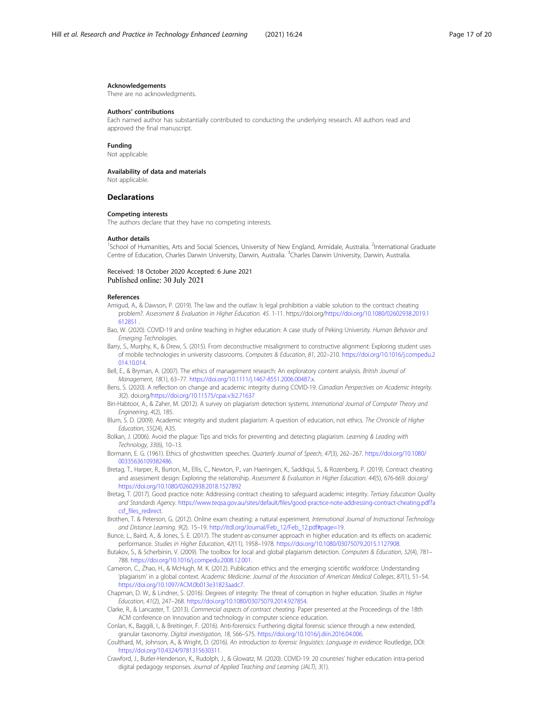#### <span id="page-17-0"></span>Acknowledgements

There are no acknowledgments.

#### Authors' contributions

Each named author has substantially contributed to conducting the underlying research. All authors read and approved the final manuscript.

#### Funding

Not applicable.

#### Availability of data and materials

Not applicable.

#### **Declarations**

#### Competing interests

The authors declare that they have no competing interests.

#### Author details

<sup>1</sup>School of Humanities, Arts and Social Sciences, University of New England, Armidale, Australia. <sup>2</sup>International Graduate Centre of Education, Charles Darwin University, Darwin, Australia. <sup>3</sup>Charles Darwin University, Darwin, Australia

#### Received: 18 October 2020 Accepted: 6 June 2021 Published online: 30 July 2021

#### References

- Amigud, A., & Dawson, P. (2019). The law and the outlaw: Is legal prohibition a viable solution to the contract cheating problem?. Assessment & Evaluation in Higher Education. 45. 1-11. https://doi.org[/https://doi.org/10.1080/02602938.2019.1](https://doi.org/10.1080/02602938.2019.1612851) [612851](https://doi.org/10.1080/02602938.2019.1612851) .
- Bao, W. (2020). COVID-19 and online teaching in higher education: A case study of Peking University. Human Behavior and Emerging Technologies.
- Barry, S., Murphy, K., & Drew, S. (2015). From deconstructive misalignment to constructive alignment: Exploring student uses of mobile technologies in university classrooms. Computers & Education, 81, 202–210. [https://doi.org/10.1016/j.compedu.2](https://doi.org/10.1016/j.compedu.2014.10.014) [014.10.014](https://doi.org/10.1016/j.compedu.2014.10.014).
- Bell, E., & Bryman, A. (2007). The ethics of management research: An exploratory content analysis. British Journal of Management, 18(1), 63–77. <https://doi.org/10.1111/j.1467-8551.2006.00487.x>.
- Bens, S. (2020). A reflection on change and academic integrity during COVID-19. Canadian Perspectives on Academic Integrity. 3(2). doi.org/<https://doi.org/10.11575/cpai.v3i2.71637>
- Bin-Habtoor, A., & Zaher, M. (2012). A survey on plagiarism detection systems. International Journal of Computer Theory and Engineering, 4(2), 185.
- Blum, S. D. (2009). Academic integrity and student plagiarism: A question of education, not ethics. The Chronicle of Higher Education, 55(24), A35.
- Bolkan, J. (2006). Avoid the plague: Tips and tricks for preventing and detecting plagiarism. Learning & Leading with Technology, 33(6), 10–13.
- Bormann, E. G. (1961). Ethics of ghostwritten speeches. Quarterly Journal of Speech, 47(3), 262–267. [https://doi.org/10.1080/](https://doi.org/10.1080/00335636109382486) [00335636109382486.](https://doi.org/10.1080/00335636109382486)
- Bretag, T., Harper, R., Burton, M., Ellis, C., Newton, P., van Haeringen, K., Saddiqui, S., & Rozenberg, P. (2019). Contract cheating and assessment design: Exploring the relationship. Assessment & Evaluation in Higher Education. 44(5), 676-669. doi.org/ <https://doi.org/10.1080/02602938.2018.1527892>
- Bretag, T. (2017). Good practice note: Addressing contract cheating to safeguard academic integrity. Tertiary Education Quality and Standards Agency. [https://www.teqsa.gov.au/sites/default/files/good-practice-note-addressing-contract-cheating.pdf?a](https://www.teqsa.gov.au/sites/default/files/good-practice-note-addressing-contract-cheating.pdf?acsf_files_redirect) [csf\\_files\\_redirect.](https://www.teqsa.gov.au/sites/default/files/good-practice-note-addressing-contract-cheating.pdf?acsf_files_redirect)
- Brothen, T. & Peterson, G. (2012). Online exam cheating: a natural experiment. International Journal of Instructional Technology and Distance Learning. 9(2). 15–19. [http://itdl.org/Journal/Feb\\_12/Feb\\_12.pdf#page=19](http://itdl.org/Journal/Feb_12/Feb_12.pdf#page=19).
- Bunce, L., Baird, A., & Jones, S. E. (2017). The student-as-consumer approach in higher education and its effects on academic performance. Studies in Higher Education, 42(11), 1958–1978. <https://doi.org/10.1080/03075079.2015.1127908>.
- Butakov, S., & Scherbinin, V. (2009). The toolbox for local and global plagiarism detection. Computers & Education, 52(4), 781– 788. [https://doi.org/10.1016/j.compedu.2008.12.001.](https://doi.org/10.1016/j.compedu.2008.12.001)
- Cameron, C., Zhao, H., & McHugh, M. K. (2012). Publication ethics and the emerging scientific workforce: Understanding 'plagiarism' in a global context. Academic Medicine: Journal of the Association of American Medical Colleges, 87(1), 51–54. <https://doi.org/10.1097/ACM.0b013e31823aadc7>.
- Chapman, D. W., & Lindner, S. (2016). Degrees of integrity: The threat of corruption in higher education. Studies in Higher Education, 41(2), 247–268. [https://doi.org/10.1080/03075079.2014.927854.](https://doi.org/10.1080/03075079.2014.927854)
- Clarke, R., & Lancaster, T. (2013). Commercial aspects of contract cheating. Paper presented at the Proceedings of the 18th ACM conference on Innovation and technology in computer science education.
- Conlan, K., Baggili, I., & Breitinger, F. (2016). Anti-forensics: Furthering digital forensic science through a new extended, granular taxonomy. Digital investigation, 18, S66–S75. [https://doi.org/10.1016/j.diin.2016.04.006.](https://doi.org/10.1016/j.diin.2016.04.006)
- Coulthard, M., Johnson, A., & Wright, D. (2016). An introduction to forensic linguistics: Language in evidence: Routledge, DOI: <https://doi.org/10.4324/9781315630311>.
- Crawford, J., Butler-Henderson, K., Rudolph, J., & Glowatz, M. (2020). COVID-19: 20 countries' higher education intra-period digital pedagogy responses. Journal of Applied Teaching and Learning (JALT), 3(1).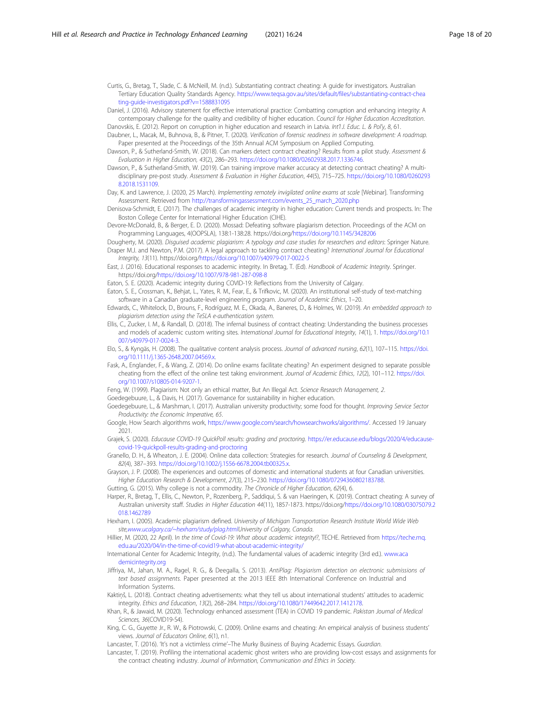<span id="page-18-0"></span>Curtis, G., Bretag, T., Slade, C. & McNeill, M. (n.d.). Substantiating contract cheating: A guide for investigators. Australian Tertiary Education Quality Standards Agency. [https://www.teqsa.gov.au/sites/default/files/substantiating-contract-chea](https://www.teqsa.gov.au/sites/default/files/substantiating-contract-cheating-guide-investigators.pdf?v=1588831095) [ting-guide-investigators.pdf?v=1588831095](https://www.teqsa.gov.au/sites/default/files/substantiating-contract-cheating-guide-investigators.pdf?v=1588831095)

Daniel, J. (2016). Advisory statement for effective international practice: Combatting corruption and enhancing integrity: A contemporary challenge for the quality and credibility of higher education. Council for Higher Education Accreditation.

Danovskis, E. (2012). Report on corruption in higher education and research in Latvia. Int'l J. Educ. L. & Pol'y, 8, 61. Daubner, L., Macak, M., Buhnova, B., & Pitner, T. (2020). Verification of forensic readiness in software development: A roadmap.

- Paper presented at the Proceedings of the 35th Annual ACM Symposium on Applied Computing. Dawson, P., & Sutherland-Smith, W. (2018). Can markers detect contract cheating? Results from a pilot study. Assessment & Evaluation in Higher Education, 43(2), 286–293. <https://doi.org/10.1080/02602938.2017.1336746>.
- Dawson, P., & Sutherland-Smith, W. (2019). Can training improve marker accuracy at detecting contract cheating? A multidisciplinary pre-post study. Assessment & Evaluation in Higher Education, 44(5), 715–725. [https://doi.org/10.1080/0260293](https://doi.org/10.1080/02602938.2018.1531109) [8.2018.1531109.](https://doi.org/10.1080/02602938.2018.1531109)

Day, K. and Lawrence, J. (2020, 25 March). Implementing remotely invigilated online exams at scale [Webinar]. Transforming Assessment. Retrieved from [http://transformingassessment.com/events\\_25\\_march\\_2020.php](http://transformingassessment.com/events_25_march_2020.php)

Denisova-Schmidt, E. (2017). The challenges of academic integrity in higher education: Current trends and prospects. In: The Boston College Center for International Higher Education (CIHE).

Devore-McDonald, B., & Berger, E. D. (2020). Mossad: Defeating software plagiarism detection. Proceedings of the ACM on Programming Languages, 4(OOPSLA), 138:1-138:28. https://doi.org/<https://doi.org/10.1145/3428206>

Dougherty, M. (2020). Disguised academic plagiarism: A typology and case studies for researchers and editors: Springer Nature. Draper M.J. and Newton, P.M. (2017). A legal approach to tackling contract cheating? International Journal for Educational Integrity, 13(11). https://doi.org[/https://doi.org/10.1007/s40979-017-0022-5](https://doi.org/10.1007/s40979-017-0022-5)

East, J. (2016). Educational responses to academic integrity. In Bretag, T. (Ed). Handbook of Academic Integrity. Springer. https://doi.org/<https://doi.org/10.1007/978-981-287-098-8>

Eaton, S. E. (2020). Academic integrity during COVID-19: Reflections from the University of Calgary.

Eaton, S. E., Crossman, K., Behjat, L., Yates, R. M., Fear, E., & Trifkovic, M. (2020). An institutional self-study of text-matching software in a Canadian graduate-level engineering program. Journal of Academic Ethics, 1-20.

Edwards, C., Whitelock, D., Brouns, F., Rodríguez, M. E., Okada, A., Baneres, D., & Holmes, W. (2019). An embedded approach to plagiarism detection using the TeSLA e-authentication system.

- Ellis, C., Zucker, I. M., & Randall, D. (2018). The infernal business of contract cheating: Understanding the business processes and models of academic custom writing sites. International Journal for Educational Integrity, 14(1), 1. [https://doi.org/10.1](https://doi.org/10.1007/s40979-017-0024-3) [007/s40979-017-0024-3.](https://doi.org/10.1007/s40979-017-0024-3)
- Elo, S., & Kyngäs, H. (2008). The qualitative content analysis process. Journal of advanced nursing, 62(1), 107–115. [https://doi.](https://doi.org/10.1111/j.1365-2648.2007.04569.x) [org/10.1111/j.1365-2648.2007.04569.x](https://doi.org/10.1111/j.1365-2648.2007.04569.x).
- Fask, A., Englander, F., & Wang, Z. (2014). Do online exams facilitate cheating? An experiment designed to separate possible cheating from the effect of the online test taking environment. Journal of Academic Ethics, 12(2), 101-112. [https://doi.](https://doi.org/10.1007/s10805-014-9207-1) [org/10.1007/s10805-014-9207-1](https://doi.org/10.1007/s10805-014-9207-1).
- Feng, W. (1999). Plagiarism: Not only an ethical matter, But An Illegal Act. Science Research Management, 2.

Goedegebuure, L., & Davis, H. (2017). Governance for sustainability in higher education.

Goedegebuure, L., & Marshman, I. (2017). Australian university productivity; some food for thought. Improving Service Sector Productivity: the Economic Imperative, 65.

Google, How Search algorithms work, [https://www.google.com/search/howsearchworks/algorithms/.](https://www.google.com/search/howsearchworks/algorithms/) Accessed 19 January 2021.

Grajek, S. (2020). Educause COVID-19 QuickPoll results: grading and proctoring. [https://er.educause.edu/blogs/2020/4/educause](https://er.educause.edu/blogs/2020/4/educause-covid-19-quickpoll-results-grading-and-proctoring)[covid-19-quickpoll-results-grading-and-proctoring](https://er.educause.edu/blogs/2020/4/educause-covid-19-quickpoll-results-grading-and-proctoring)

Granello, D. H., & Wheaton, J. E. (2004). Online data collection: Strategies for research. Journal of Counseling & Development, 82(4), 387–393. [https://doi.org/10.1002/j.1556-6678.2004.tb00325.x.](https://doi.org/10.1002/j.1556-6678.2004.tb00325.x)

Grayson, J. P. (2008). The experiences and outcomes of domestic and international students at four Canadian universities. Higher Education Research & Development, 27(3), 215–230. <https://doi.org/10.1080/07294360802183788>.

Gutting, G. (2015). Why college is not a commodity. The Chronicle of Higher Education, 62(4), 6.

Harper, R., Bretag, T., Ellis, C., Newton, P., Rozenberg, P., Saddiqui, S. & van Haeringen, K. (2019). Contract cheating: A survey of Australian university staff. Studies in Higher Education 44(11), 1857-1873. https://doi.org/[https://doi.org/10.1080/03075079.2](https://doi.org/10.1080/03075079.2018.1462789) [018.1462789](https://doi.org/10.1080/03075079.2018.1462789)

Hexham, I. (2005). Academic plagiarism defined. University of Michigan Transportation Research Institute World Wide Web site,[www.ucalgary.ca/~hexham/study/plag.htmlU](http://www.ucalgary.ca/~hexham/study/plag.html)niversity of Calgary, Canada.

Hillier, M. (2020, 22 April). In the time of Covid-19: What about academic integrity!?, TECHE. Retrieved from [https://teche.mq.](https://teche.mq.edu.au/2020/04/in-the-time-of-covid19-what-about-academic-integrity/) [edu.au/2020/04/in-the-time-of-covid19-what-about-academic-integrity/](https://teche.mq.edu.au/2020/04/in-the-time-of-covid19-what-about-academic-integrity/)

International Center for Academic Integrity, (n.d.). The fundamental values of academic integrity (3rd ed.). [www.aca](http://www.academicintegrity.org) [demicintegrity.org](http://www.academicintegrity.org)

Jiffriya, M., Jahan, M. A., Ragel, R. G., & Deegalla, S. (2013). AntiPlag: Plagiarism detection on electronic submissions of text based assignments. Paper presented at the 2013 IEEE 8th International Conference on Industrial and Information Systems.

Kaktiņš, L. (2018). Contract cheating advertisements: what they tell us about international students' attitudes to academic integrity. Ethics and Education, 13(2), 268–284. [https://doi.org/10.1080/17449642.2017.1412178.](https://doi.org/10.1080/17449642.2017.1412178)

Khan, R., & Jawaid, M. (2020). Technology enhanced assessment (TEA) in COVID 19 pandemic. Pakistan Journal of Medical Sciences, 36(COVID19-S4).

King, C. G., Guyette Jr., R. W., & Piotrowski, C. (2009). Online exams and cheating: An empirical analysis of business students' views. Journal of Educators Online, 6(1), n1.

Lancaster, T. (2016). 'It's not a victimless crime'-The Murky Business of Buying Academic Essays. Guardian.

Lancaster, T. (2019). Profiling the international academic ghost writers who are providing low-cost essays and assignments for the contract cheating industry. Journal of Information, Communication and Ethics in Society.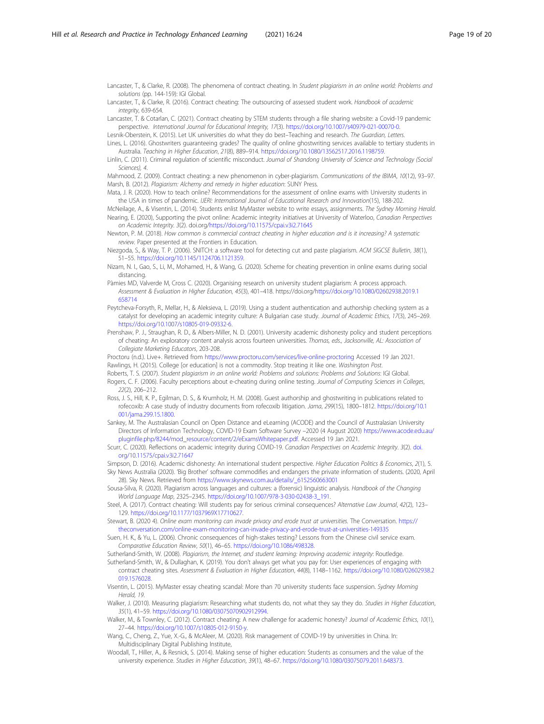<span id="page-19-0"></span>Lancaster, T., & Clarke, R. (2008). The phenomena of contract cheating. In Student plagiarism in an online world: Problems and solutions (pp. 144-159): IGI Global.

Lancaster, T., & Clarke, R. (2016). Contract cheating: The outsourcing of assessed student work. Handbook of academic integrity, 639-654.

Lancaster, T. & Cotarlan, C. (2021). Contract cheating by STEM students through a file sharing website: a Covid-19 pandemic perspective. International Journal for Educational Integrity, 17(3). <https://doi.org/10.1007/s40979-021-00070-0>.

Lesnik-Oberstein, K. (2015). Let UK universities do what they do best–Teaching and research. The Guardian, Letters. Lines, L. (2016). Ghostwriters guaranteeing grades? The quality of online ghostwriting services available to tertiary students in Australia. Teaching in Higher Education, 21(8), 889–914. <https://doi.org/10.1080/13562517.2016.1198759>.

Linlin, C. (2011). Criminal regulation of scientific misconduct. Journal of Shandong University of Science and Technology (Social Sciences), 4.

Mahmood, Z. (2009). Contract cheating: a new phenomenon in cyber-plagiarism. Communications of the IBIMA, 10(12), 93–97. Marsh, B. (2012). Plagiarism: Alchemy and remedy in higher education: SUNY Press.

Mata, J. R. (2020). How to teach online? Recommendations for the assessment of online exams with University students in the USA in times of pandemic. IJERI: International Journal of Educational Research and Innovation(15), 188-202.

McNeilage, A., & Visentin, L. (2014). Students enlist MyMaster website to write essays, assignments. The Sydney Morning Herald. Nearing, E. (2020), Supporting the pivot online: Academic integrity initiatives at University of Waterloo, Canadian Perspectives on Academic Integrity. 3(2). doi.org[/https://doi.org/10.11575/cpai.v3i2.71645](https://doi.org/10.11575/cpai.v3i2.71645)

Newton, P. M. (2018). How common is commercial contract cheating in higher education and is it increasing? A systematic review. Paper presented at the Frontiers in Education.

Niezgoda, S., & Way, T. P. (2006). SNITCH: a software tool for detecting cut and paste plagiarism. ACM SIGCSE Bulletin, 38(1), 51–55. <https://doi.org/10.1145/1124706.1121359>.

Nizam, N. I., Gao, S., Li, M., Mohamed, H., & Wang, G. (2020). Scheme for cheating prevention in online exams during social distancing.

Pàmies MD, Valverde M, Cross C. (2020). Organising research on university student plagiarism: A process approach. Assessment & Evaluation in Higher Education, 45(3), 401–418. https://doi.org/[https://doi.org/10.1080/02602938.2019.1](https://doi.org/10.1080/02602938.2019.1658714) [658714](https://doi.org/10.1080/02602938.2019.1658714)

Peytcheva-Forsyth, R., Mellar, H., & Aleksieva, L. (2019). Using a student authentication and authorship checking system as a catalyst for developing an academic integrity culture: A Bulgarian case study. Journal of Academic Ethics, 17(3), 245–269. <https://doi.org/10.1007/s10805-019-09332-6>.

Prenshaw, P. J., Straughan, R. D., & Albers-Miller, N. D. (2001). University academic dishonesty policy and student perceptions of cheating: An exploratory content analysis across fourteen universities. Thomas, eds., Jacksonville, AL: Association of Collegiate Marketing Educators, 203-208.

Proctoru (n.d.). Live+. Retrieved from <https://www.proctoru.com/services/live-online-proctoring> Accessed 19 Jan 2021. Rawlings, H. (2015). College [or education] is not a commodity. Stop treating it like one. Washington Post.

Roberts, T. S. (2007). Student plagiarism in an online world: Problems and solutions: Problems and Solutions: IGI Global.

Rogers, C. F. (2006). Faculty perceptions about e-cheating during online testing. Journal of Computing Sciences in Colleges, 22(2), 206–212.

Ross, J. S., Hill, K. P., Egilman, D. S., & Krumholz, H. M. (2008). Guest authorship and ghostwriting in publications related to rofecoxib: A case study of industry documents from rofecoxib litigation. Jama, 299(15), 1800–1812. [https://doi.org/10.1](https://doi.org/10.1001/jama.299.15.1800) [001/jama.299.15.1800](https://doi.org/10.1001/jama.299.15.1800).

Sankey, M. The Australasian Council on Open Distance and eLearning (ACODE) and the Council of Australasian University Directors of Information Technology, COVID-19 Exam Software Survey –2020 (4 August 2020) [https://www.acode.edu.au/](https://www.acode.edu.au/pluginfile.php/8244/mod_resource/content/2/eExamsWhitepaper.pdf) [pluginfile.php/8244/mod\\_resource/content/2/eExamsWhitepaper.pdf](https://www.acode.edu.au/pluginfile.php/8244/mod_resource/content/2/eExamsWhitepaper.pdf). Accessed 19 Jan 2021.

Scurr, C. (2020). Reflections on academic integrity during COVID-19. Canadian Perspectives on Academic Integrity. 3(2). [doi.](http://doi.org/10.11575/cpai.v3i2.71647) [org/10.11575/cpai.v3i2.71647](http://doi.org/10.11575/cpai.v3i2.71647)

Simpson, D. (2016). Academic dishonesty: An international student perspective. Higher Education Politics & Economics, 2(1), 5.

Sky News Australia (2020). 'Big Brother' software commodifies and endangers the private information of students. (2020, April 28). Sky News. Retrieved from [https://www.skynews.com.au/details/\\_6152560663001](https://www.skynews.com.au/details/_6152560663001)

Sousa-Silva, R. (2020). Plagiarism across languages and cultures: a (forensic) linguistic analysis. Handbook of the Changing World Language Map, 2325–2345. [https://doi.org/10.1007/978-3-030-02438-3\\_191](https://doi.org/10.1007/978-3-030-02438-3_191).

Steel, A. (2017). Contract cheating: Will students pay for serious criminal consequences? Alternative Law Journal, 42(2), 123– 129. <https://doi.org/10.1177/1037969X17710627>.

Stewart, B. (2020 4). Online exam monitoring can invade privacy and erode trust at universities. The Conversation. [https://](https://theconversation.com/online-exam-monitoring-can-invade-privacy-and-erode-trust-at-universities-149335) [theconversation.com/online-exam-monitoring-can-invade-privacy-and-erode-trust-at-universities-149335](https://theconversation.com/online-exam-monitoring-can-invade-privacy-and-erode-trust-at-universities-149335)

Suen, H. K., & Yu, L. (2006). Chronic consequences of high-stakes testing? Lessons from the Chinese civil service exam. Comparative Education Review, 50(1), 46–65. [https://doi.org/10.1086/498328.](https://doi.org/10.1086/498328)

Sutherland-Smith, W. (2008). Plagiarism, the Internet, and student learning: Improving academic integrity: Routledge.

Sutherland-Smith, W., & Dullaghan, K. (2019). You don't always get what you pay for: User experiences of engaging with contract cheating sites. Assessment & Evaluation in Higher Education, 44(8), 1148–1162. [https://doi.org/10.1080/02602938.2](https://doi.org/10.1080/02602938.2019.1576028) [019.1576028.](https://doi.org/10.1080/02602938.2019.1576028)

Visentin, L. (2015). MyMaster essay cheating scandal: More than 70 university students face suspension. Sydney Morning Herald, 19.

Walker, J. (2010). Measuring plagiarism: Researching what students do, not what they say they do. Studies in Higher Education, 35(1), 41–59. <https://doi.org/10.1080/03075070902912994>.

Walker, M., & Townley, C. (2012). Contract cheating: A new challenge for academic honesty? Journal of Academic Ethics, 10(1), 27–44. <https://doi.org/10.1007/s10805-012-9150-y>.

Wang, C., Cheng, Z., Yue, X.-G., & McAleer, M. (2020). Risk management of COVID-19 by universities in China. In: Multidisciplinary Digital Publishing Institute,

Woodall, T., Hiller, A., & Resnick, S. (2014). Making sense of higher education: Students as consumers and the value of the university experience. Studies in Higher Education, 39(1), 48–67. [https://doi.org/10.1080/03075079.2011.648373.](https://doi.org/10.1080/03075079.2011.648373)